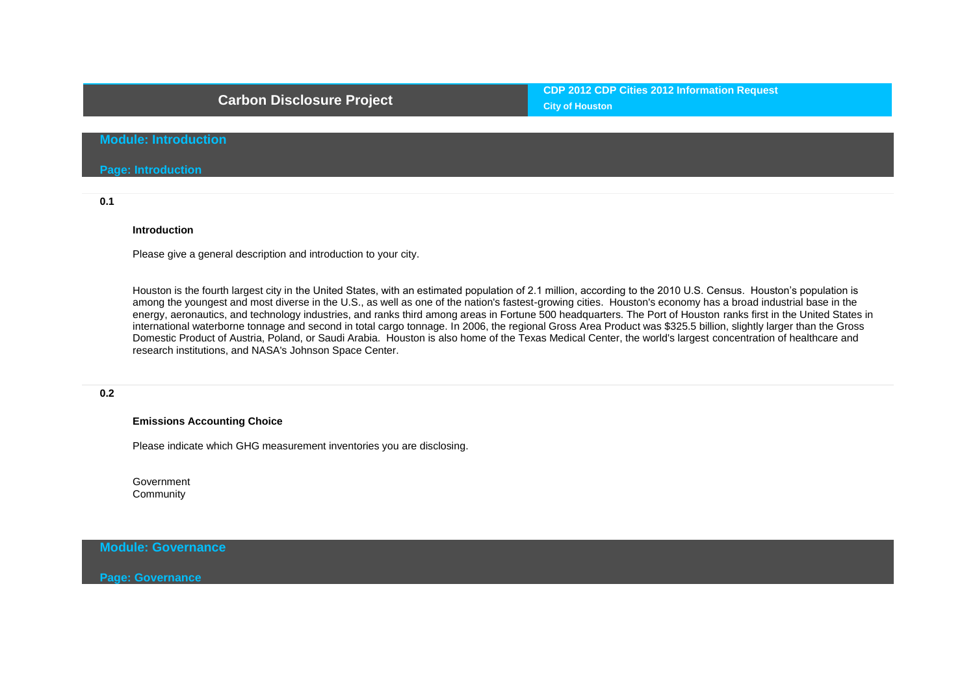# **Carbon Disclosure Project**

**CDP 2012 CDP Cities 2012 Information Request City of Houston**

# **Module: Introduction**

**Page: Introduction**

**0.1**

#### **Introduction**

Please give a general description and introduction to your city.

Houston is the fourth largest city in the United States, with an estimated population of 2.1 million, according to the 2010 U.S. Census. Houston's population is among the youngest and most diverse in the U.S., as well as one of the nation's fastest-growing cities. Houston's economy has a broad industrial base in the energy, aeronautics, and technology industries, and ranks third among areas in Fortune 500 headquarters. The Port of Houston ranks first in the United States in international waterborne tonnage and second in total cargo tonnage. In 2006, the regional Gross Area Product was \$325.5 billion, slightly larger than the Gross Domestic Product of Austria, Poland, or Saudi Arabia. Houston is also home of the Texas Medical Center, the world's largest concentration of healthcare and research institutions, and NASA's Johnson Space Center.

## **0.2**

**Emissions Accounting Choice**

Please indicate which GHG measurement inventories you are disclosing.

Government Community

**Module: Governance**

**Page: Governance**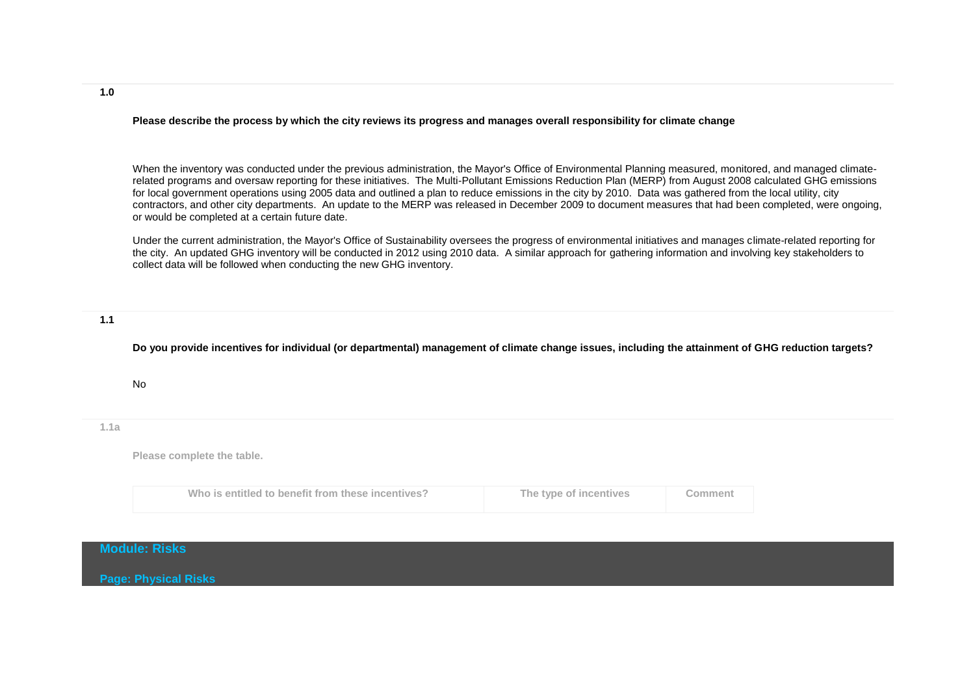### **Please describe the process by which the city reviews its progress and manages overall responsibility for climate change**

When the inventory was conducted under the previous administration, the Mayor's Office of Environmental Planning measured, monitored, and managed climaterelated programs and oversaw reporting for these initiatives. The Multi-Pollutant Emissions Reduction Plan (MERP) from August 2008 calculated GHG emissions for local government operations using 2005 data and outlined a plan to reduce emissions in the city by 2010. Data was gathered from the local utility, city contractors, and other city departments. An update to the MERP was released in December 2009 to document measures that had been completed, were ongoing, or would be completed at a certain future date.

Under the current administration, the Mayor's Office of Sustainability oversees the progress of environmental initiatives and manages climate-related reporting for the city. An updated GHG inventory will be conducted in 2012 using 2010 data. A similar approach for gathering information and involving key stakeholders to collect data will be followed when conducting the new GHG inventory.

**1.1**

**Do you provide incentives for individual (or departmental) management of climate change issues, including the attainment of GHG reduction targets?**

No

**1.1a**

**Please complete the table.**

| Who is entitled to benefit from these incentives? | The type of incentives | Comment |
|---------------------------------------------------|------------------------|---------|
|                                                   |                        |         |

**Module: Risks**

**Page: Physical Risks**

**1.0**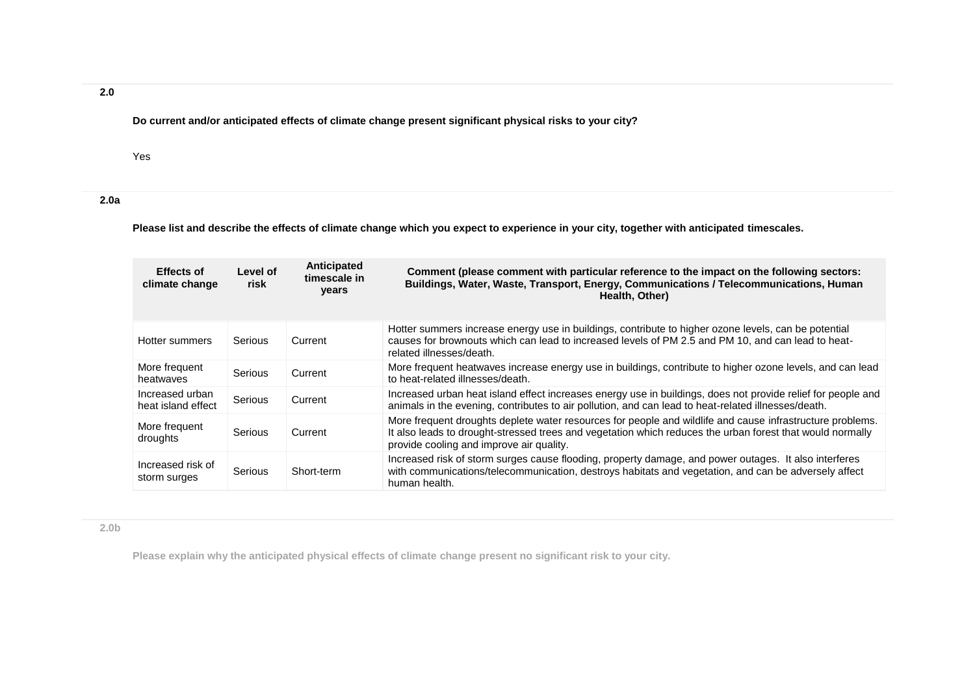**Do current and/or anticipated effects of climate change present significant physical risks to your city?**

Yes

**2.0a**

**Please list and describe the effects of climate change which you expect to experience in your city, together with anticipated timescales.**

| <b>Effects of</b><br>climate change   | Level of<br>risk | Anticipated<br>timescale in<br>years | Comment (please comment with particular reference to the impact on the following sectors:<br>Buildings, Water, Waste, Transport, Energy, Communications / Telecommunications, Human<br>Health, Other)                                                              |
|---------------------------------------|------------------|--------------------------------------|--------------------------------------------------------------------------------------------------------------------------------------------------------------------------------------------------------------------------------------------------------------------|
| Hotter summers                        | Serious          | Current                              | Hotter summers increase energy use in buildings, contribute to higher ozone levels, can be potential<br>causes for brownouts which can lead to increased levels of PM 2.5 and PM 10, and can lead to heat-<br>related illnesses/death.                             |
| More frequent<br>heatwaves            | Serious          | Current                              | More frequent heatwaves increase energy use in buildings, contribute to higher ozone levels, and can lead<br>to heat-related illnesses/death.                                                                                                                      |
| Increased urban<br>heat island effect | Serious          | Current                              | Increased urban heat island effect increases energy use in buildings, does not provide relief for people and<br>animals in the evening, contributes to air pollution, and can lead to heat-related illnesses/death.                                                |
| More frequent<br>droughts             | Serious          | Current                              | More frequent droughts deplete water resources for people and wildlife and cause infrastructure problems.<br>It also leads to drought-stressed trees and vegetation which reduces the urban forest that would normally<br>provide cooling and improve air quality. |
| Increased risk of<br>storm surges     | Serious          | Short-term                           | Increased risk of storm surges cause flooding, property damage, and power outages. It also interferes<br>with communications/telecommunication, destroys habitats and vegetation, and can be adversely affect<br>human health.                                     |

**2.0b**

**Please explain why the anticipated physical effects of climate change present no significant risk to your city.** 

**2.0**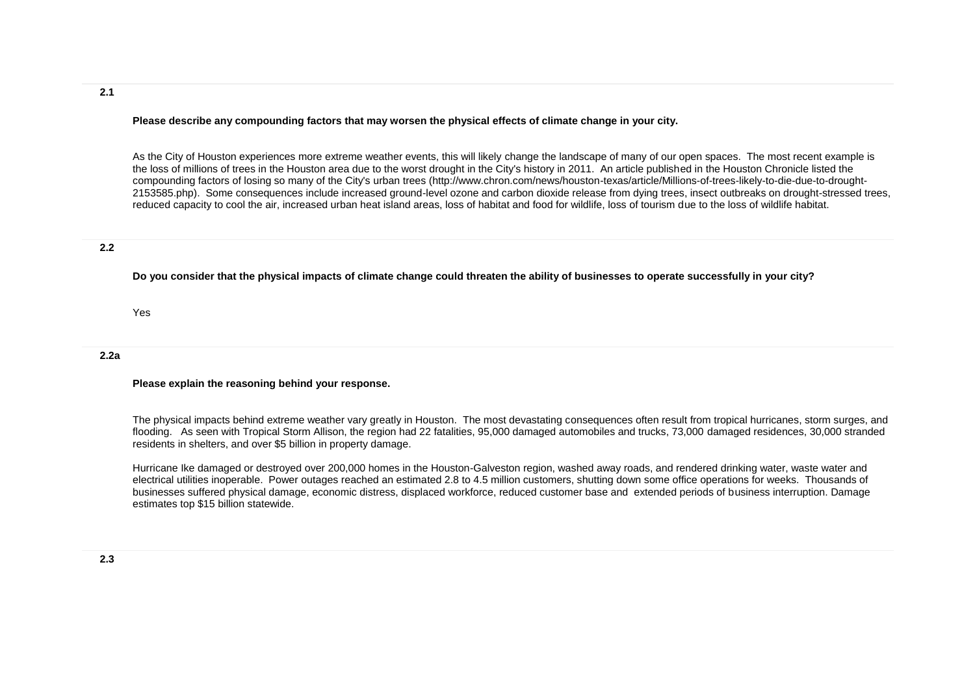### **Please describe any compounding factors that may worsen the physical effects of climate change in your city.**

As the City of Houston experiences more extreme weather events, this will likely change the landscape of many of our open spaces. The most recent example is the loss of millions of trees in the Houston area due to the worst drought in the City's history in 2011. An article published in the Houston Chronicle listed the compounding factors of losing so many of the City's urban trees (http://www.chron.com/news/houston-texas/article/Millions-of-trees-likely-to-die-due-to-drought-2153585.php). Some consequences include increased ground-level ozone and carbon dioxide release from dying trees, insect outbreaks on drought-stressed trees, reduced capacity to cool the air, increased urban heat island areas, loss of habitat and food for wildlife, loss of tourism due to the loss of wildlife habitat.

### **2.2**

**Do you consider that the physical impacts of climate change could threaten the ability of businesses to operate successfully in your city?**

Yes

### **2.2a**

### **Please explain the reasoning behind your response.**

The physical impacts behind extreme weather vary greatly in Houston. The most devastating consequences often result from tropical hurricanes, storm surges, and flooding. As seen with Tropical Storm Allison, the region had 22 fatalities, 95,000 damaged automobiles and trucks, 73,000 damaged residences, 30,000 stranded residents in shelters, and over \$5 billion in property damage.

Hurricane Ike damaged or destroyed over 200,000 homes in the Houston-Galveston region, washed away roads, and rendered drinking water, waste water and electrical utilities inoperable. Power outages reached an estimated 2.8 to 4.5 million customers, shutting down some office operations for weeks. Thousands of businesses suffered physical damage, economic distress, displaced workforce, reduced customer base and extended periods of business interruption. Damage estimates top \$15 billion statewide.

**2.1**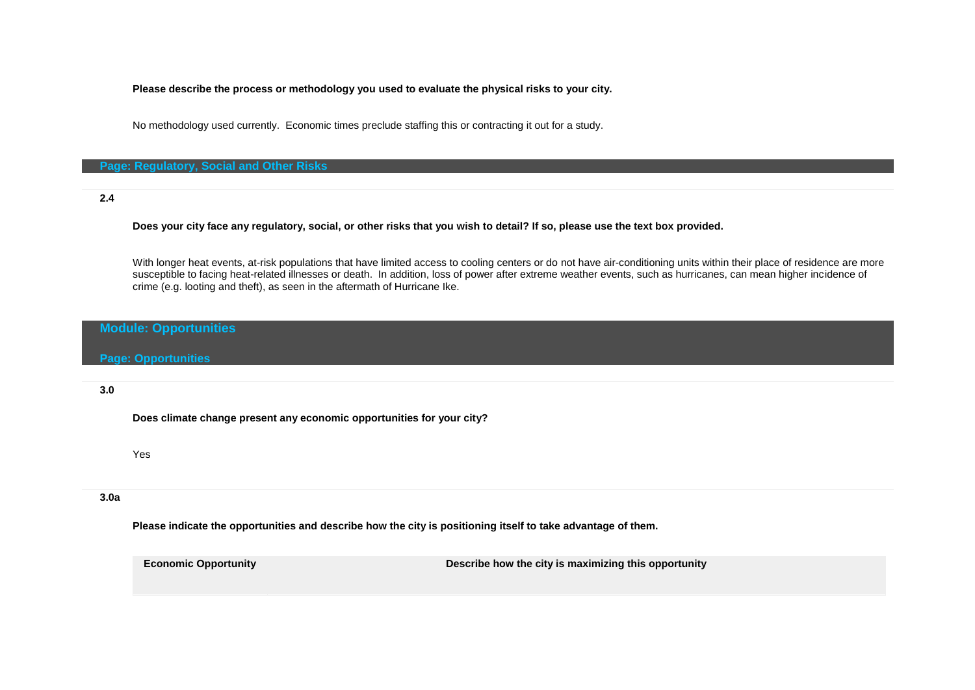**Please describe the process or methodology you used to evaluate the physical risks to your city.**

No methodology used currently. Economic times preclude staffing this or contracting it out for a study.

### **Page: Regulatory, Social and Other Risks**

## **2.4**

**Does your city face any regulatory, social, or other risks that you wish to detail? If so, please use the text box provided.**

With longer heat events, at-risk populations that have limited access to cooling centers or do not have air-conditioning units within their place of residence are more susceptible to facing heat-related illnesses or death. In addition, loss of power after extreme weather events, such as hurricanes, can mean higher incidence of crime (e.g. looting and theft), as seen in the aftermath of Hurricane Ike.

# **Module: Opportunities**

#### **Page: Opportunities**

#### **3.0**

**Does climate change present any economic opportunities for your city?**

Yes

### **3.0a**

**Please indicate the opportunities and describe how the city is positioning itself to take advantage of them.**

**Economic Opportunity Describe how the city is maximizing this opportunity**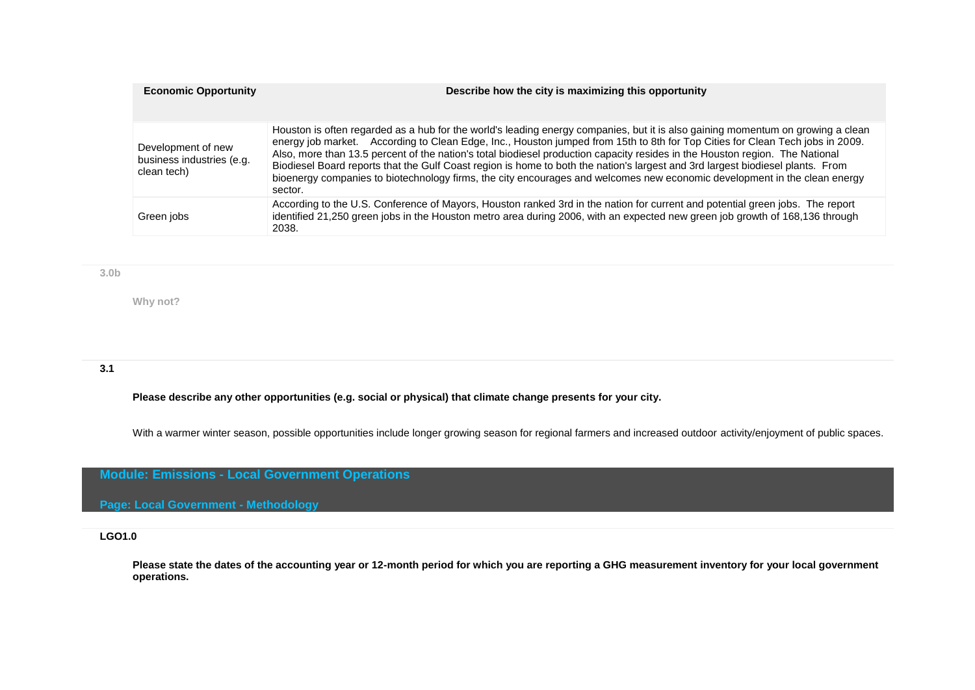| <b>Economic Opportunity</b>                                    | Describe how the city is maximizing this opportunity                                                                                                                                                                                                                                                                                                                                                                                                                                                                                                                                                                                                                       |
|----------------------------------------------------------------|----------------------------------------------------------------------------------------------------------------------------------------------------------------------------------------------------------------------------------------------------------------------------------------------------------------------------------------------------------------------------------------------------------------------------------------------------------------------------------------------------------------------------------------------------------------------------------------------------------------------------------------------------------------------------|
| Development of new<br>business industries (e.g.<br>clean tech) | Houston is often regarded as a hub for the world's leading energy companies, but it is also gaining momentum on growing a clean<br>energy job market. According to Clean Edge, Inc., Houston jumped from 15th to 8th for Top Cities for Clean Tech jobs in 2009.<br>Also, more than 13.5 percent of the nation's total biodiesel production capacity resides in the Houston region. The National<br>Biodiesel Board reports that the Gulf Coast region is home to both the nation's largest and 3rd largest biodiesel plants. From<br>bioenergy companies to biotechnology firms, the city encourages and welcomes new economic development in the clean energy<br>sector. |
| Green jobs                                                     | According to the U.S. Conference of Mayors, Houston ranked 3rd in the nation for current and potential green jobs. The report<br>identified 21,250 green jobs in the Houston metro area during 2006, with an expected new green job growth of 168,136 through<br>2038.                                                                                                                                                                                                                                                                                                                                                                                                     |

## **3.0b**

**Why not?**

## **3.1**

**Please describe any other opportunities (e.g. social or physical) that climate change presents for your city.**

With a warmer winter season, possible opportunities include longer growing season for regional farmers and increased outdoor activity/enjoyment of public spaces.

# **Module: Emissions - Local Government Operations**

**Page: Local Government - Methodology**

## **LGO1.0**

**Please state the dates of the accounting year or 12-month period for which you are reporting a GHG measurement inventory for your local government operations.**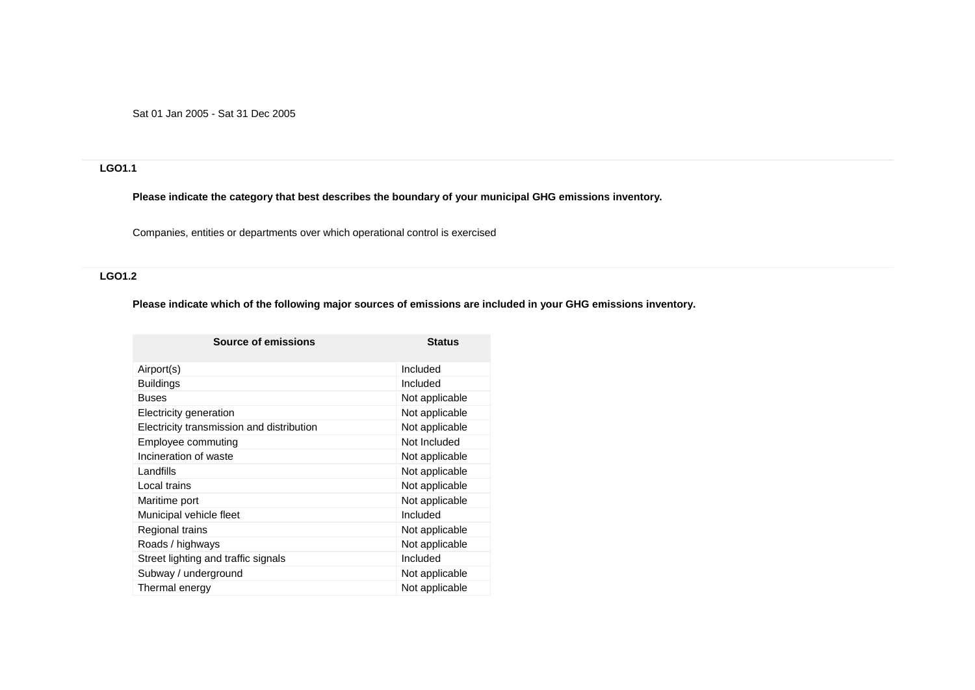Sat 01 Jan 2005 - Sat 31 Dec 2005

## **LGO1.1**

**Please indicate the category that best describes the boundary of your municipal GHG emissions inventory.**

Companies, entities or departments over which operational control is exercised

## **LGO1.2**

## **Please indicate which of the following major sources of emissions are included in your GHG emissions inventory.**

| <b>Source of emissions</b>                | <b>Status</b>  |
|-------------------------------------------|----------------|
| Airport(s)                                | Included       |
| <b>Buildings</b>                          | Included       |
| <b>Buses</b>                              | Not applicable |
| Electricity generation                    | Not applicable |
| Electricity transmission and distribution | Not applicable |
| Employee commuting                        | Not Included   |
| Incineration of waste                     | Not applicable |
| Landfills                                 | Not applicable |
| Local trains                              | Not applicable |
| Maritime port                             | Not applicable |
| Municipal vehicle fleet                   | Included       |
| Regional trains                           | Not applicable |
| Roads / highways                          | Not applicable |
| Street lighting and traffic signals       | Included       |
| Subway / underground                      | Not applicable |
| Thermal energy                            | Not applicable |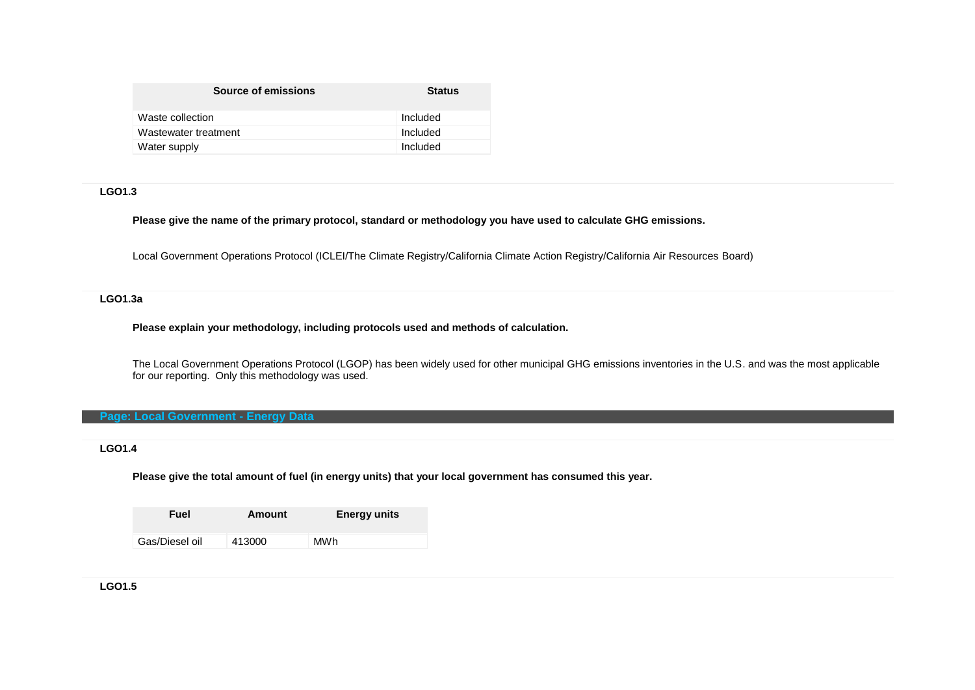| Source of emissions  | <b>Status</b> |
|----------------------|---------------|
| Waste collection     | Included      |
| Wastewater treatment | Included      |
| Water supply         | Included      |

## **LGO1.3**

**Please give the name of the primary protocol, standard or methodology you have used to calculate GHG emissions.**

Local Government Operations Protocol (ICLEI/The Climate Registry/California Climate Action Registry/California Air Resources Board)

## **LGO1.3a**

**Please explain your methodology, including protocols used and methods of calculation.**

The Local Government Operations Protocol (LGOP) has been widely used for other municipal GHG emissions inventories in the U.S. and was the most applicable for our reporting. Only this methodology was used.

### **Page: Local Government - Energy Data**

## **LGO1.4**

**Please give the total amount of fuel (in energy units) that your local government has consumed this year.**

| Fuel           | Amount | <b>Energy units</b> |
|----------------|--------|---------------------|
| Gas/Diesel oil | 413000 | MWh                 |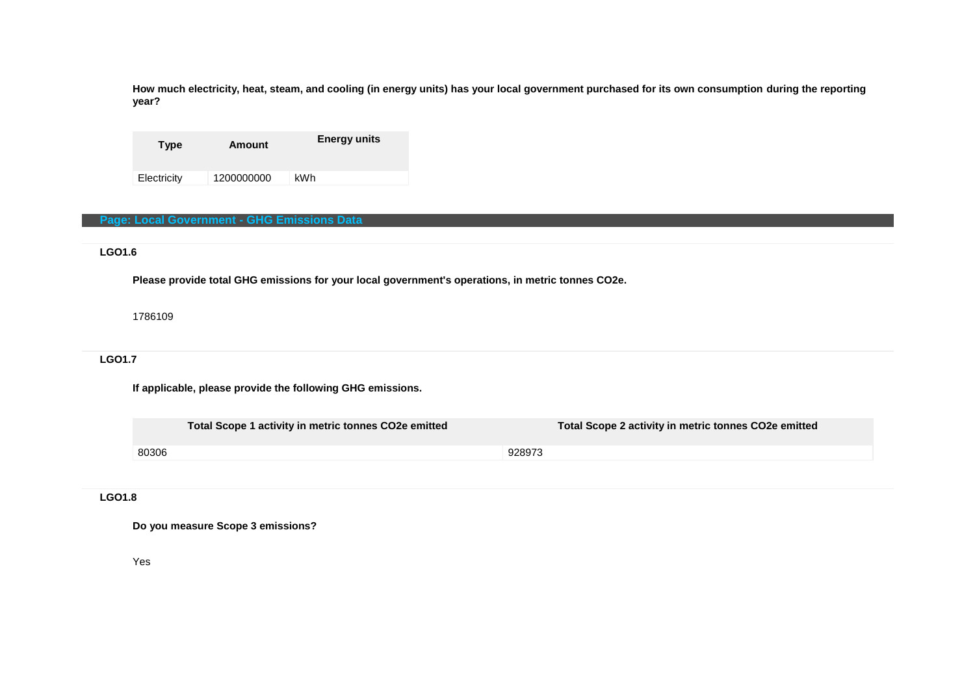**How much electricity, heat, steam, and cooling (in energy units) has your local government purchased for its own consumption during the reporting year?**

| <b>Type</b> | Amount     | <b>Energy units</b> |
|-------------|------------|---------------------|
| Electricity | 1200000000 | kWh                 |

## **Page: Local Government - GHG Emissions Data**

# **LGO1.6**

**Please provide total GHG emissions for your local government's operations, in metric tonnes CO2e.**

1786109

# **LGO1.7**

**If applicable, please provide the following GHG emissions.**

|       | Total Scope 1 activity in metric tonnes CO2e emitted |        | Total Scope 2 activity in metric tonnes CO2e emitted |
|-------|------------------------------------------------------|--------|------------------------------------------------------|
| 80306 |                                                      | 928973 |                                                      |

## **LGO1.8**

**Do you measure Scope 3 emissions?**

Yes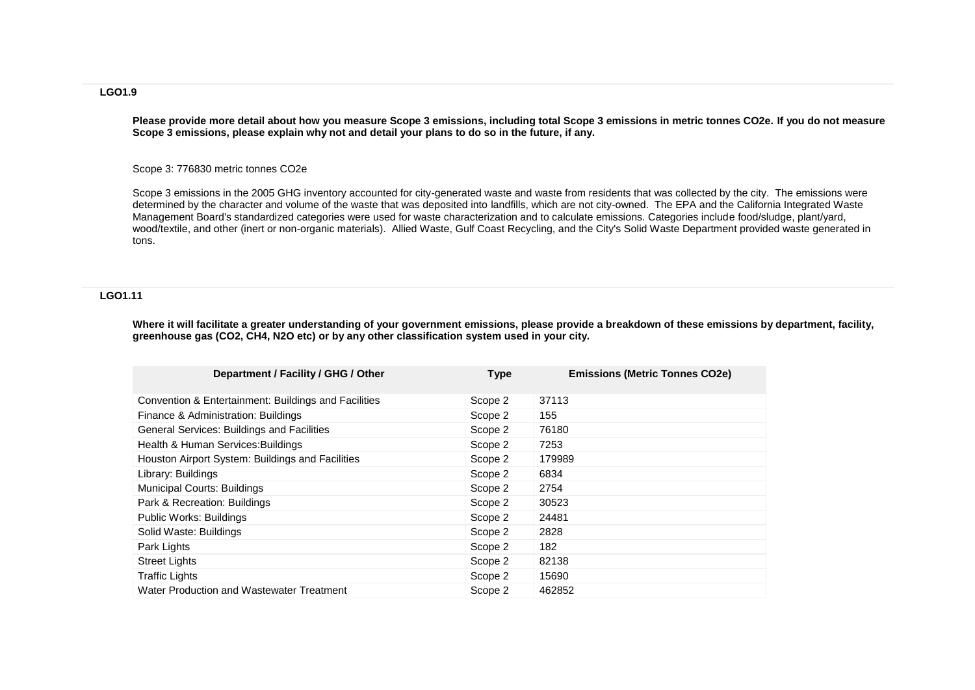### **LGO1.9**

**Please provide more detail about how you measure Scope 3 emissions, including total Scope 3 emissions in metric tonnes CO2e. If you do not measure Scope 3 emissions, please explain why not and detail your plans to do so in the future, if any.**

Scope 3: 776830 metric tonnes CO2e

Scope 3 emissions in the 2005 GHG inventory accounted for city-generated waste and waste from residents that was collected by the city. The emissions were determined by the character and volume of the waste that was deposited into landfills, which are not city-owned. The EPA and the California Integrated Waste Management Board's standardized categories were used for waste characterization and to calculate emissions. Categories include food/sludge, plant/yard, wood/textile, and other (inert or non-organic materials). Allied Waste, Gulf Coast Recycling, and the City's Solid Waste Department provided waste generated in tons.

### **LGO1.11**

Where it will facilitate a greater understanding of your government emissions, please provide a breakdown of these emissions by department, facility, **greenhouse gas (CO2, CH4, N2O etc) or by any other classification system used in your city.**

| Department / Facility / GHG / Other                  | <b>Type</b> | <b>Emissions (Metric Tonnes CO2e)</b> |
|------------------------------------------------------|-------------|---------------------------------------|
| Convention & Entertainment: Buildings and Facilities | Scope 2     | 37113                                 |
| Finance & Administration: Buildings                  | Scope 2     | 155                                   |
| General Services: Buildings and Facilities           | Scope 2     | 76180                                 |
| Health & Human Services: Buildings                   | Scope 2     | 7253                                  |
| Houston Airport System: Buildings and Facilities     | Scope 2     | 179989                                |
| Library: Buildings                                   | Scope 2     | 6834                                  |
| <b>Municipal Courts: Buildings</b>                   | Scope 2     | 2754                                  |
| Park & Recreation: Buildings                         | Scope 2     | 30523                                 |
| Public Works: Buildings                              | Scope 2     | 24481                                 |
| Solid Waste: Buildings                               | Scope 2     | 2828                                  |
| Park Lights                                          | Scope 2     | 182                                   |
| <b>Street Lights</b>                                 | Scope 2     | 82138                                 |
| <b>Traffic Lights</b>                                | Scope 2     | 15690                                 |
| Water Production and Wastewater Treatment            | Scope 2     | 462852                                |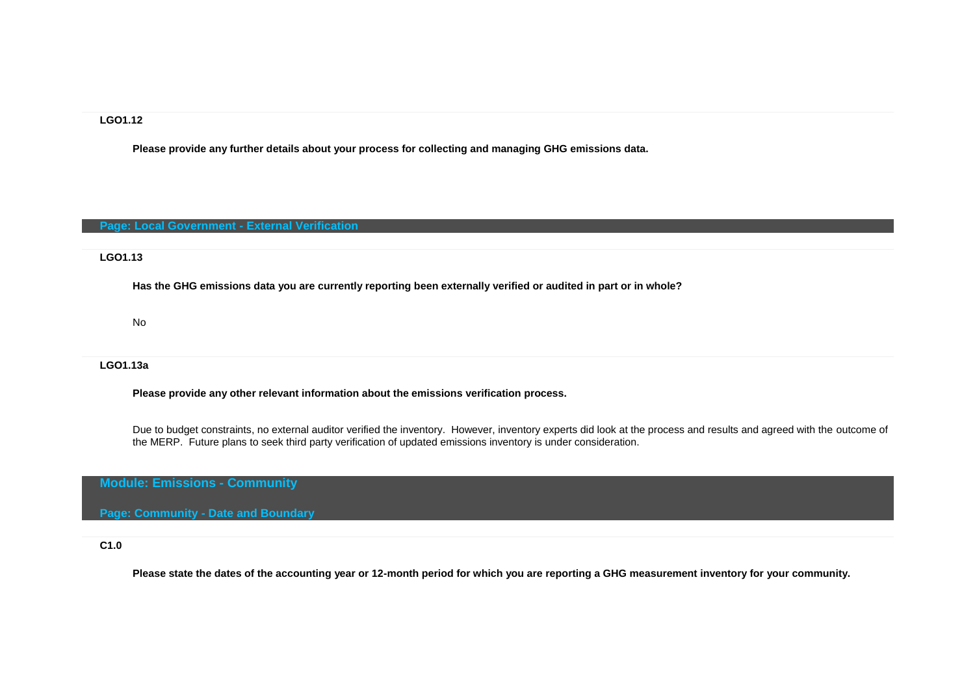### **LGO1.12**

**Please provide any further details about your process for collecting and managing GHG emissions data.**

### **Page: Local Government - External Verification**

#### **LGO1.13**

**Has the GHG emissions data you are currently reporting been externally verified or audited in part or in whole?**

No

## **LGO1.13a**

**Please provide any other relevant information about the emissions verification process.**

Due to budget constraints, no external auditor verified the inventory. However, inventory experts did look at the process and results and agreed with the outcome of the MERP. Future plans to seek third party verification of updated emissions inventory is under consideration.

**Module: Emissions - Community**

**Page: Community - Date and Boundary**

### **C1.0**

**Please state the dates of the accounting year or 12-month period for which you are reporting a GHG measurement inventory for your community.**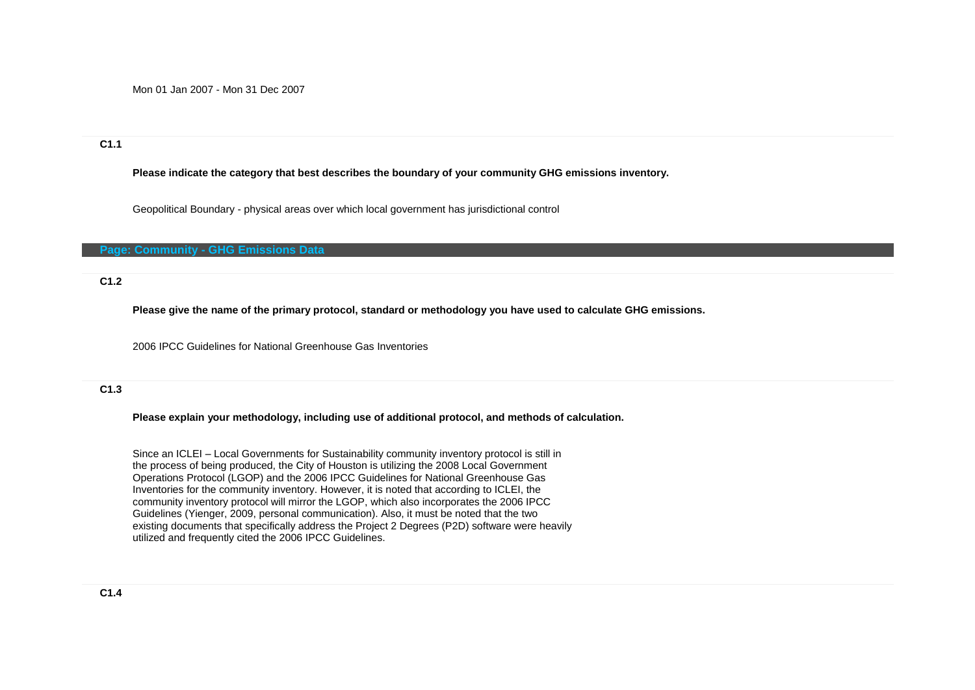## **C1.1**

### **Please indicate the category that best describes the boundary of your community GHG emissions inventory.**

Geopolitical Boundary - physical areas over which local government has jurisdictional control

#### **Page: Community - GHG Emissions Data**

## **C1.2**

**Please give the name of the primary protocol, standard or methodology you have used to calculate GHG emissions.**

2006 IPCC Guidelines for National Greenhouse Gas Inventories

## **C1.3**

#### **Please explain your methodology, including use of additional protocol, and methods of calculation.**

Since an ICLEI – Local Governments for Sustainability community inventory protocol is still in the process of being produced, the City of Houston is utilizing the 2008 Local Government Operations Protocol (LGOP) and the 2006 IPCC Guidelines for National Greenhouse Gas Inventories for the community inventory. However, it is noted that according to ICLEI, the community inventory protocol will mirror the LGOP, which also incorporates the 2006 IPCC Guidelines (Yienger, 2009, personal communication). Also, it must be noted that the two existing documents that specifically address the Project 2 Degrees (P2D) software were heavily utilized and frequently cited the 2006 IPCC Guidelines.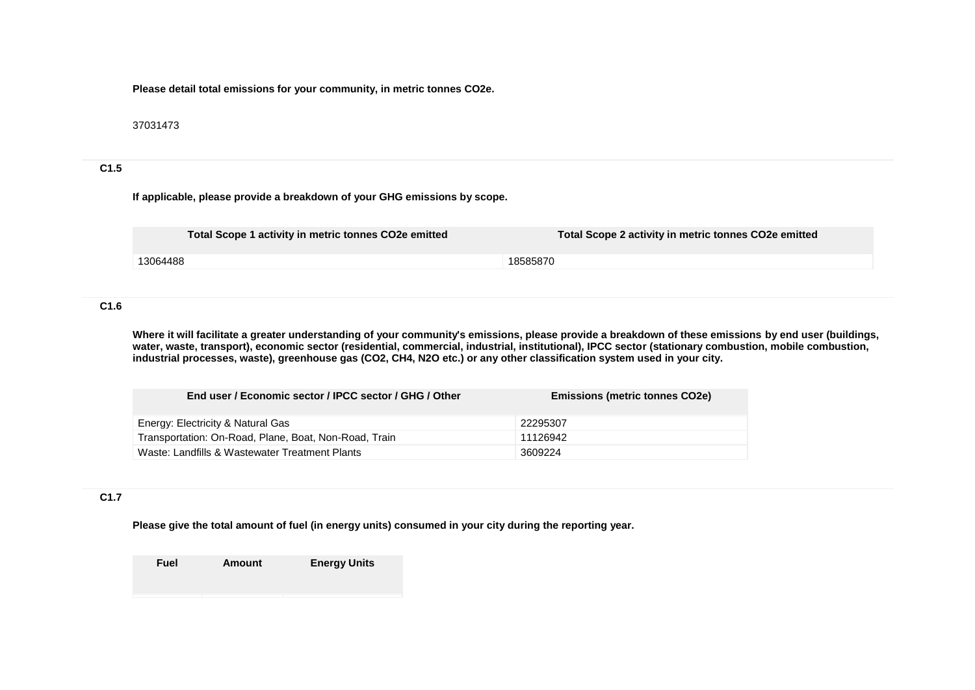**Please detail total emissions for your community, in metric tonnes CO2e.**

## 37031473

## **C1.5**

## **If applicable, please provide a breakdown of your GHG emissions by scope.**

| Total Scope 1 activity in metric tonnes CO2e emitted | Total Scope 2 activity in metric tonnes CO2e emitted |
|------------------------------------------------------|------------------------------------------------------|
| 13064488                                             | 18585870                                             |
|                                                      |                                                      |

## **C1.6**

**Where it will facilitate a greater understanding of your community's emissions, please provide a breakdown of these emissions by end user (buildings,**  water, waste, transport), economic sector (residential, commercial, industrial, institutional), IPCC sector (stationary combustion, mobile combustion, **industrial processes, waste), greenhouse gas (CO2, CH4, N2O etc.) or any other classification system used in your city.**

| End user / Economic sector / IPCC sector / GHG / Other | <b>Emissions (metric tonnes CO2e)</b> |
|--------------------------------------------------------|---------------------------------------|
| Energy: Electricity & Natural Gas                      | 22295307                              |
| Transportation: On-Road, Plane, Boat, Non-Road, Train  | 11126942                              |
| Waste: Landfills & Wastewater Treatment Plants         | 3609224                               |

# **C1.7**

**Please give the total amount of fuel (in energy units) consumed in your city during the reporting year.**

**Fuel Amount Energy Units**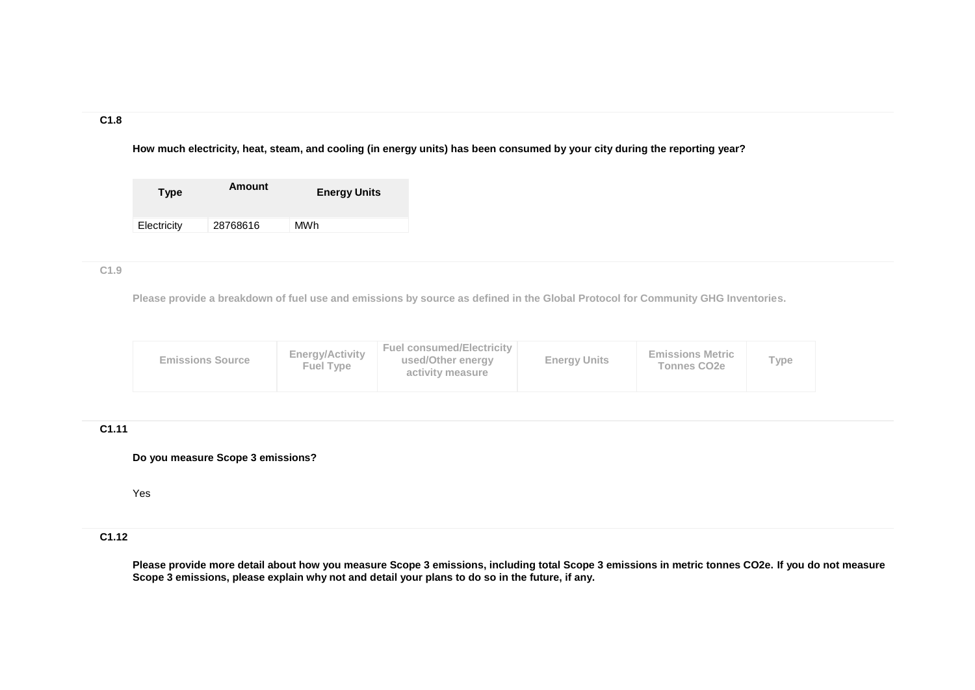## **C1.8**

**How much electricity, heat, steam, and cooling (in energy units) has been consumed by your city during the reporting year?**

| <b>Type</b> | Amount   | <b>Energy Units</b> |
|-------------|----------|---------------------|
| Electricity | 28768616 | MWh                 |

## **C1.9**

**Please provide a breakdown of fuel use and emissions by source as defined in the Global Protocol for Community GHG Inventories.**

| <b>Fuel consumed/Electricity</b><br>Energy/Activity<br><b>Energy Units</b><br>used/Other energy<br><b>Emissions Source</b><br><b>Fuel Type</b><br>activity measure | <b>Emissions Metric</b><br>Type<br><b>Tonnes CO2e</b> |
|--------------------------------------------------------------------------------------------------------------------------------------------------------------------|-------------------------------------------------------|
|--------------------------------------------------------------------------------------------------------------------------------------------------------------------|-------------------------------------------------------|

# **C1.11**

## **Do you measure Scope 3 emissions?**

Yes

# **C1.12**

**Please provide more detail about how you measure Scope 3 emissions, including total Scope 3 emissions in metric tonnes CO2e. If you do not measure Scope 3 emissions, please explain why not and detail your plans to do so in the future, if any.**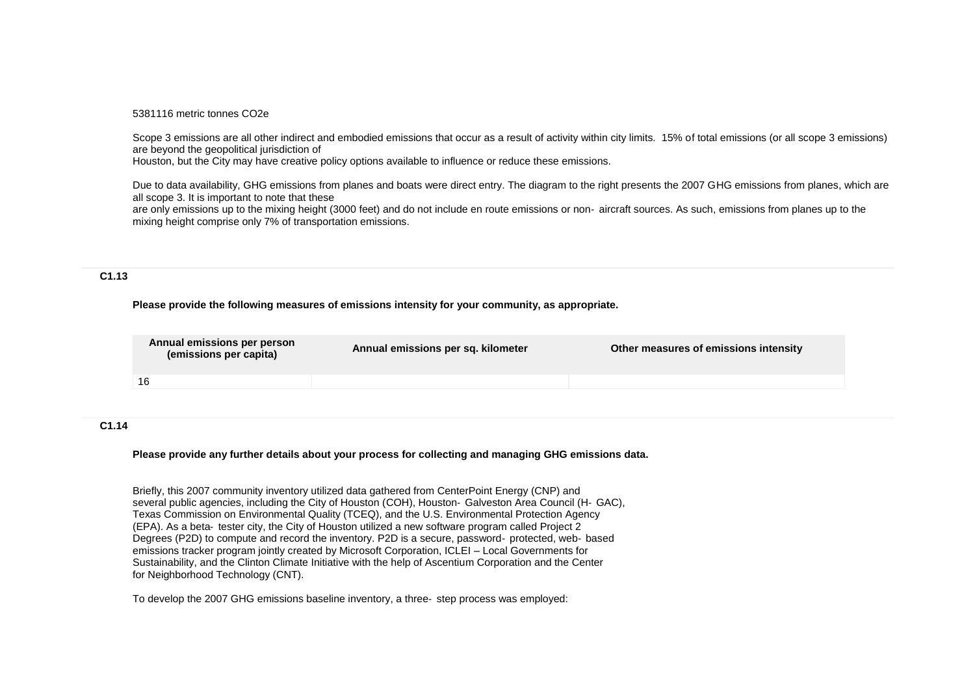5381116 metric tonnes CO2e

Scope 3 emissions are all other indirect and embodied emissions that occur as a result of activity within city limits. 15% of total emissions (or all scope 3 emissions) are beyond the geopolitical jurisdiction of

Houston, but the City may have creative policy options available to influence or reduce these emissions.

Due to data availability, GHG emissions from planes and boats were direct entry. The diagram to the right presents the 2007 GHG emissions from planes, which are all scope 3. It is important to note that these

are only emissions up to the mixing height (3000 feet) and do not include en route emissions or non-aircraft sources. As such, emissions from planes up to the mixing height comprise only 7% of transportation emissions.

## **C1.13**

**Please provide the following measures of emissions intensity for your community, as appropriate.**

| Annual emissions per person<br>(emissions per capita) | Annual emissions per sq. kilometer | Other measures of emissions intensity |
|-------------------------------------------------------|------------------------------------|---------------------------------------|
| 16                                                    |                                    |                                       |
|                                                       |                                    |                                       |

### **C1.14**

**Please provide any further details about your process for collecting and managing GHG emissions data.**

Briefly, this 2007 community inventory utilized data gathered from CenterPoint Energy (CNP) and several public agencies, including the City of Houston (COH), Houston‐ Galveston Area Council (H‐ GAC), Texas Commission on Environmental Quality (TCEQ), and the U.S. Environmental Protection Agency (EPA). As a beta‐ tester city, the City of Houston utilized a new software program called Project 2 Degrees (P2D) to compute and record the inventory. P2D is a secure, password‐ protected, web‐ based emissions tracker program jointly created by Microsoft Corporation, ICLEI – Local Governments for Sustainability, and the Clinton Climate Initiative with the help of Ascentium Corporation and the Center for Neighborhood Technology (CNT).

To develop the 2007 GHG emissions baseline inventory, a three‐ step process was employed: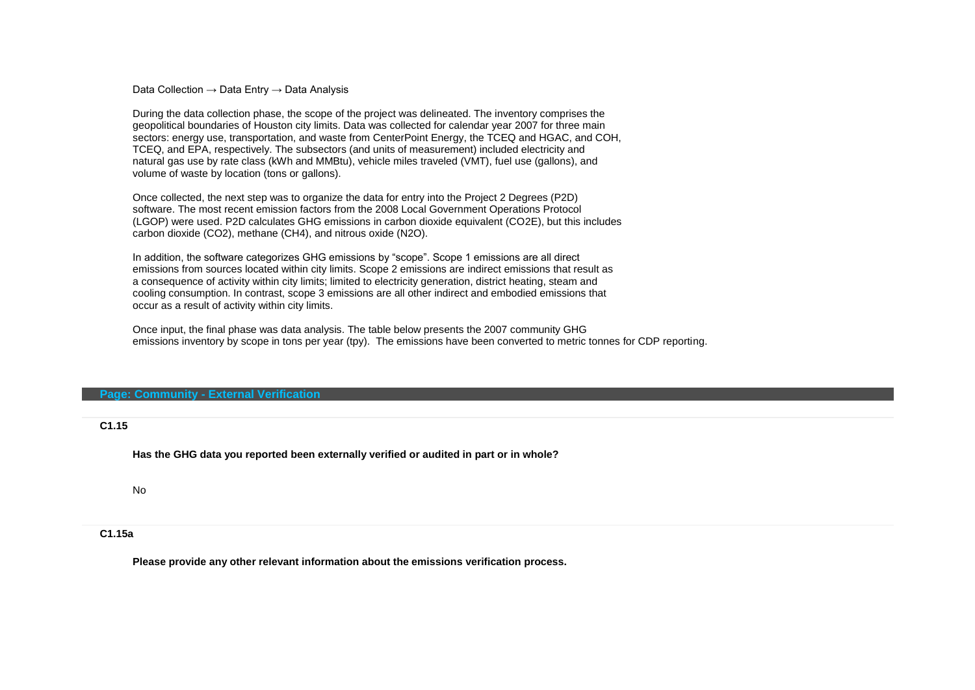Data Collection → Data Entry → Data Analysis

During the data collection phase, the scope of the project was delineated. The inventory comprises the geopolitical boundaries of Houston city limits. Data was collected for calendar year 2007 for three main sectors: energy use, transportation, and waste from CenterPoint Energy, the TCEQ and HGAC, and COH, TCEQ, and EPA, respectively. The subsectors (and units of measurement) included electricity and natural gas use by rate class (kWh and MMBtu), vehicle miles traveled (VMT), fuel use (gallons), and volume of waste by location (tons or gallons).

Once collected, the next step was to organize the data for entry into the Project 2 Degrees (P2D) software. The most recent emission factors from the 2008 Local Government Operations Protocol (LGOP) were used. P2D calculates GHG emissions in carbon dioxide equivalent (CO2E), but this includes carbon dioxide (CO2), methane (CH4), and nitrous oxide (N2O).

In addition, the software categorizes GHG emissions by "scope". Scope 1 emissions are all direct emissions from sources located within city limits. Scope 2 emissions are indirect emissions that result as a consequence of activity within city limits; limited to electricity generation, district heating, steam and cooling consumption. In contrast, scope 3 emissions are all other indirect and embodied emissions that occur as a result of activity within city limits.

Once input, the final phase was data analysis. The table below presents the 2007 community GHG emissions inventory by scope in tons per year (tpy). The emissions have been converted to metric tonnes for CDP reporting.

#### **Page: Community - External Verification**

### **C1.15**

**Has the GHG data you reported been externally verified or audited in part or in whole?**

No

### **C1.15a**

**Please provide any other relevant information about the emissions verification process.**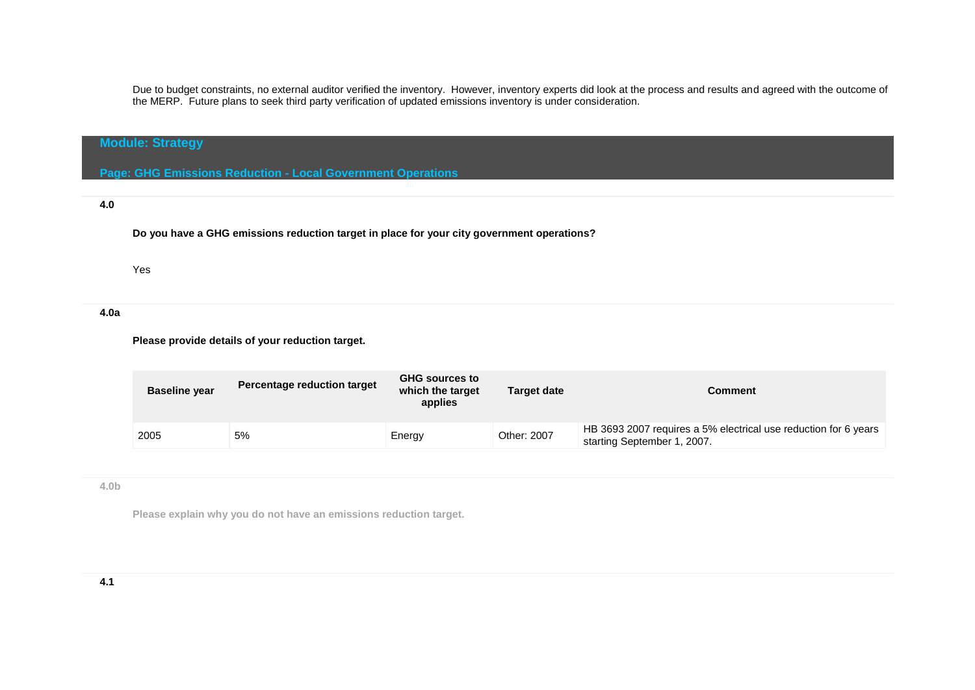Due to budget constraints, no external auditor verified the inventory. However, inventory experts did look at the process and results and agreed with the outcome of the MERP. Future plans to seek third party verification of updated emissions inventory is under consideration.

# **Module: Strategy**

**Page: GHG Emissions Reduction - Local Government Operations**

## **4.0**

**Do you have a GHG emissions reduction target in place for your city government operations?**

### Yes

## **4.0a**

**Please provide details of your reduction target.**

| <b>Baseline year</b> | <b>Percentage reduction target</b> | <b>GHG sources to</b><br>which the target<br>applies | Target date | Comment                                                                                        |
|----------------------|------------------------------------|------------------------------------------------------|-------------|------------------------------------------------------------------------------------------------|
| 2005                 | 5%                                 | Energy                                               | Other: 2007 | HB 3693 2007 requires a 5% electrical use reduction for 6 years<br>starting September 1, 2007. |

### **4.0b**

**Please explain why you do not have an emissions reduction target.**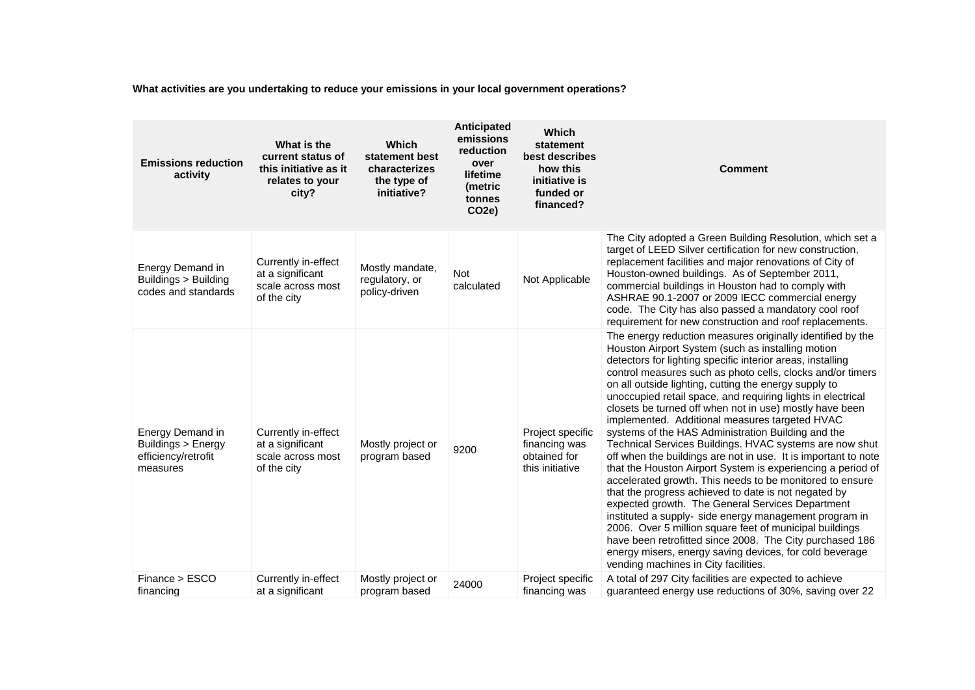**What activities are you undertaking to reduce your emissions in your local government operations?**

| <b>Emissions reduction</b><br>activity                                    | What is the<br>current status of<br>this initiative as it<br>relates to your<br>city? | <b>Which</b><br>statement best<br>characterizes<br>the type of<br>initiative? | Anticipated<br>emissions<br>reduction<br>over<br>lifetime<br>(metric<br>tonnes<br>CO <sub>2</sub> e) | <b>Which</b><br>statement<br>best describes<br>how this<br>initiative is<br>funded or<br>financed? | <b>Comment</b>                                                                                                                                                                                                                                                                                                                                                                                                                                                                                                                                                                                                                                                                                                                                                                                                                                                                                                                                                                                                                                                                                                                                                                                 |
|---------------------------------------------------------------------------|---------------------------------------------------------------------------------------|-------------------------------------------------------------------------------|------------------------------------------------------------------------------------------------------|----------------------------------------------------------------------------------------------------|------------------------------------------------------------------------------------------------------------------------------------------------------------------------------------------------------------------------------------------------------------------------------------------------------------------------------------------------------------------------------------------------------------------------------------------------------------------------------------------------------------------------------------------------------------------------------------------------------------------------------------------------------------------------------------------------------------------------------------------------------------------------------------------------------------------------------------------------------------------------------------------------------------------------------------------------------------------------------------------------------------------------------------------------------------------------------------------------------------------------------------------------------------------------------------------------|
| Energy Demand in<br>Buildings > Building<br>codes and standards           | Currently in-effect<br>at a significant<br>scale across most<br>of the city           | Mostly mandate,<br>regulatory, or<br>policy-driven                            | Not<br>calculated                                                                                    | Not Applicable                                                                                     | The City adopted a Green Building Resolution, which set a<br>target of LEED Silver certification for new construction,<br>replacement facilities and major renovations of City of<br>Houston-owned buildings. As of September 2011,<br>commercial buildings in Houston had to comply with<br>ASHRAE 90.1-2007 or 2009 IECC commercial energy<br>code. The City has also passed a mandatory cool roof<br>requirement for new construction and roof replacements.                                                                                                                                                                                                                                                                                                                                                                                                                                                                                                                                                                                                                                                                                                                                |
| Energy Demand in<br>Buildings > Energy<br>efficiency/retrofit<br>measures | Currently in-effect<br>at a significant<br>scale across most<br>of the city           | Mostly project or<br>program based                                            | 9200                                                                                                 | Project specific<br>financing was<br>obtained for<br>this initiative                               | The energy reduction measures originally identified by the<br>Houston Airport System (such as installing motion<br>detectors for lighting specific interior areas, installing<br>control measures such as photo cells, clocks and/or timers<br>on all outside lighting, cutting the energy supply to<br>unoccupied retail space, and requiring lights in electrical<br>closets be turned off when not in use) mostly have been<br>implemented. Additional measures targeted HVAC<br>systems of the HAS Administration Building and the<br>Technical Services Buildings. HVAC systems are now shut<br>off when the buildings are not in use. It is important to note<br>that the Houston Airport System is experiencing a period of<br>accelerated growth. This needs to be monitored to ensure<br>that the progress achieved to date is not negated by<br>expected growth. The General Services Department<br>instituted a supply- side energy management program in<br>2006. Over 5 million square feet of municipal buildings<br>have been retrofitted since 2008. The City purchased 186<br>energy misers, energy saving devices, for cold beverage<br>vending machines in City facilities. |
| Finance > ESCO<br>financing                                               | Currently in-effect<br>at a significant                                               | Mostly project or<br>program based                                            | 24000                                                                                                | Project specific<br>financing was                                                                  | A total of 297 City facilities are expected to achieve<br>guaranteed energy use reductions of 30%, saving over 22                                                                                                                                                                                                                                                                                                                                                                                                                                                                                                                                                                                                                                                                                                                                                                                                                                                                                                                                                                                                                                                                              |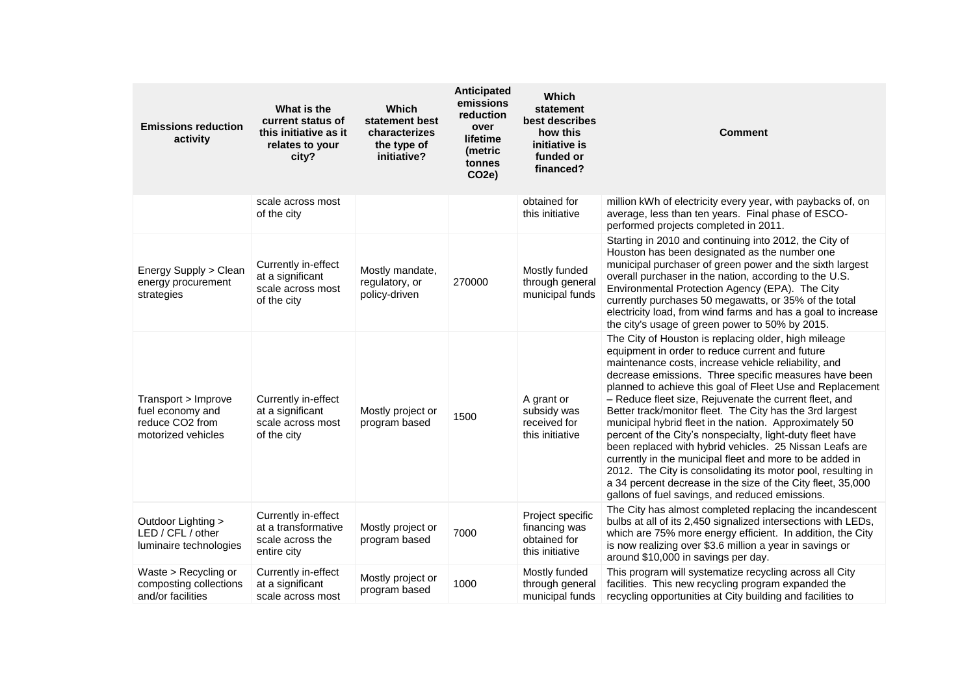| <b>Emissions reduction</b><br>activity                                           | What is the<br>current status of<br>this initiative as it<br>relates to your<br>city? | Which<br>statement best<br>characterizes<br>the type of<br>initiative? | Anticipated<br>emissions<br>reduction<br>over<br>lifetime<br>(metric<br>tonnes<br>CO <sub>2</sub> e) | <b>Which</b><br>statement<br>best describes<br>how this<br>initiative is<br>funded or<br>financed? | <b>Comment</b>                                                                                                                                                                                                                                                                                                                                                                                                                                                                                                                                                                                                                                                                                                                                                                                                                              |
|----------------------------------------------------------------------------------|---------------------------------------------------------------------------------------|------------------------------------------------------------------------|------------------------------------------------------------------------------------------------------|----------------------------------------------------------------------------------------------------|---------------------------------------------------------------------------------------------------------------------------------------------------------------------------------------------------------------------------------------------------------------------------------------------------------------------------------------------------------------------------------------------------------------------------------------------------------------------------------------------------------------------------------------------------------------------------------------------------------------------------------------------------------------------------------------------------------------------------------------------------------------------------------------------------------------------------------------------|
|                                                                                  | scale across most<br>of the city                                                      |                                                                        |                                                                                                      | obtained for<br>this initiative                                                                    | million kWh of electricity every year, with paybacks of, on<br>average, less than ten years. Final phase of ESCO-<br>performed projects completed in 2011.                                                                                                                                                                                                                                                                                                                                                                                                                                                                                                                                                                                                                                                                                  |
| Energy Supply > Clean<br>energy procurement<br>strategies                        | Currently in-effect<br>at a significant<br>scale across most<br>of the city           | Mostly mandate,<br>regulatory, or<br>policy-driven                     | 270000                                                                                               | Mostly funded<br>through general<br>municipal funds                                                | Starting in 2010 and continuing into 2012, the City of<br>Houston has been designated as the number one<br>municipal purchaser of green power and the sixth largest<br>overall purchaser in the nation, according to the U.S.<br>Environmental Protection Agency (EPA). The City<br>currently purchases 50 megawatts, or 35% of the total<br>electricity load, from wind farms and has a goal to increase<br>the city's usage of green power to 50% by 2015.                                                                                                                                                                                                                                                                                                                                                                                |
| Transport > Improve<br>fuel economy and<br>reduce CO2 from<br>motorized vehicles | Currently in-effect<br>at a significant<br>scale across most<br>of the city           | Mostly project or<br>program based                                     | 1500                                                                                                 | A grant or<br>subsidy was<br>received for<br>this initiative                                       | The City of Houston is replacing older, high mileage<br>equipment in order to reduce current and future<br>maintenance costs, increase vehicle reliability, and<br>decrease emissions. Three specific measures have been<br>planned to achieve this goal of Fleet Use and Replacement<br>- Reduce fleet size, Rejuvenate the current fleet, and<br>Better track/monitor fleet. The City has the 3rd largest<br>municipal hybrid fleet in the nation. Approximately 50<br>percent of the City's nonspecialty, light-duty fleet have<br>been replaced with hybrid vehicles. 25 Nissan Leafs are<br>currently in the municipal fleet and more to be added in<br>2012. The City is consolidating its motor pool, resulting in<br>a 34 percent decrease in the size of the City fleet, 35,000<br>gallons of fuel savings, and reduced emissions. |
| Outdoor Lighting ><br>LED / CFL / other<br>luminaire technologies                | Currently in-effect<br>at a transformative<br>scale across the<br>entire city         | Mostly project or<br>program based                                     | 7000                                                                                                 | Project specific<br>financing was<br>obtained for<br>this initiative                               | The City has almost completed replacing the incandescent<br>bulbs at all of its 2,450 signalized intersections with LEDs,<br>which are 75% more energy efficient. In addition, the City<br>is now realizing over \$3.6 million a year in savings or<br>around \$10,000 in savings per day.                                                                                                                                                                                                                                                                                                                                                                                                                                                                                                                                                  |
| Waste > Recycling or<br>composting collections<br>and/or facilities              | Currently in-effect<br>at a significant<br>scale across most                          | Mostly project or<br>program based                                     | 1000                                                                                                 | Mostly funded<br>through general<br>municipal funds                                                | This program will systematize recycling across all City<br>facilities. This new recycling program expanded the<br>recycling opportunities at City building and facilities to                                                                                                                                                                                                                                                                                                                                                                                                                                                                                                                                                                                                                                                                |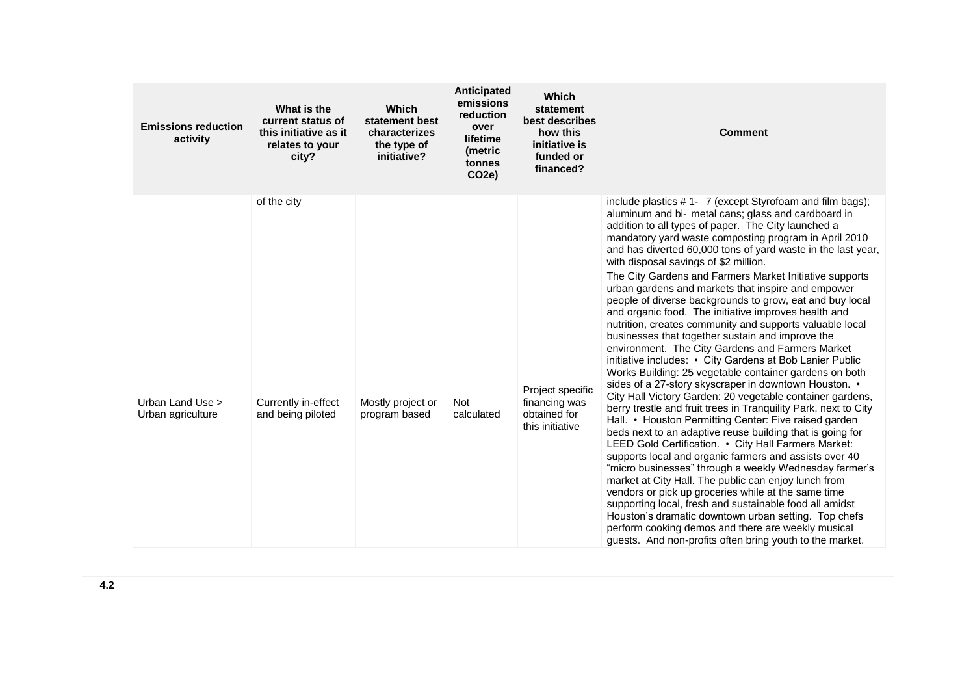| <b>Emissions reduction</b><br>activity | What is the<br>current status of<br>this initiative as it<br>relates to your<br>city? | <b>Which</b><br>statement best<br>characterizes<br>the type of<br>initiative? | Anticipated<br>emissions<br>reduction<br>over<br>lifetime<br>(metric<br>tonnes<br>CO <sub>2</sub> e) | <b>Which</b><br>statement<br>best describes<br>how this<br>initiative is<br>funded or<br>financed? | <b>Comment</b>                                                                                                                                                                                                                                                                                                                                                                                                                                                                                                                                                                                                                                                                                                                                                                                                                                                                                                                                                                                                                                                                                                                                                                                                                                                                                                                                                             |
|----------------------------------------|---------------------------------------------------------------------------------------|-------------------------------------------------------------------------------|------------------------------------------------------------------------------------------------------|----------------------------------------------------------------------------------------------------|----------------------------------------------------------------------------------------------------------------------------------------------------------------------------------------------------------------------------------------------------------------------------------------------------------------------------------------------------------------------------------------------------------------------------------------------------------------------------------------------------------------------------------------------------------------------------------------------------------------------------------------------------------------------------------------------------------------------------------------------------------------------------------------------------------------------------------------------------------------------------------------------------------------------------------------------------------------------------------------------------------------------------------------------------------------------------------------------------------------------------------------------------------------------------------------------------------------------------------------------------------------------------------------------------------------------------------------------------------------------------|
|                                        | of the city                                                                           |                                                                               |                                                                                                      |                                                                                                    | include plastics #1-7 (except Styrofoam and film bags);<br>aluminum and bi- metal cans; glass and cardboard in<br>addition to all types of paper. The City launched a<br>mandatory yard waste composting program in April 2010<br>and has diverted 60,000 tons of yard waste in the last year,<br>with disposal savings of \$2 million.                                                                                                                                                                                                                                                                                                                                                                                                                                                                                                                                                                                                                                                                                                                                                                                                                                                                                                                                                                                                                                    |
| Urban Land Use ><br>Urban agriculture  | Currently in-effect<br>and being piloted                                              | Mostly project or<br>program based                                            | <b>Not</b><br>calculated                                                                             | Project specific<br>financing was<br>obtained for<br>this initiative                               | The City Gardens and Farmers Market Initiative supports<br>urban gardens and markets that inspire and empower<br>people of diverse backgrounds to grow, eat and buy local<br>and organic food. The initiative improves health and<br>nutrition, creates community and supports valuable local<br>businesses that together sustain and improve the<br>environment. The City Gardens and Farmers Market<br>initiative includes: • City Gardens at Bob Lanier Public<br>Works Building: 25 vegetable container gardens on both<br>sides of a 27-story skyscraper in downtown Houston. •<br>City Hall Victory Garden: 20 vegetable container gardens,<br>berry trestle and fruit trees in Tranquility Park, next to City<br>Hall. • Houston Permitting Center: Five raised garden<br>beds next to an adaptive reuse building that is going for<br>LEED Gold Certification. • City Hall Farmers Market:<br>supports local and organic farmers and assists over 40<br>"micro businesses" through a weekly Wednesday farmer's<br>market at City Hall. The public can enjoy lunch from<br>vendors or pick up groceries while at the same time<br>supporting local, fresh and sustainable food all amidst<br>Houston's dramatic downtown urban setting. Top chefs<br>perform cooking demos and there are weekly musical<br>guests. And non-profits often bring youth to the market. |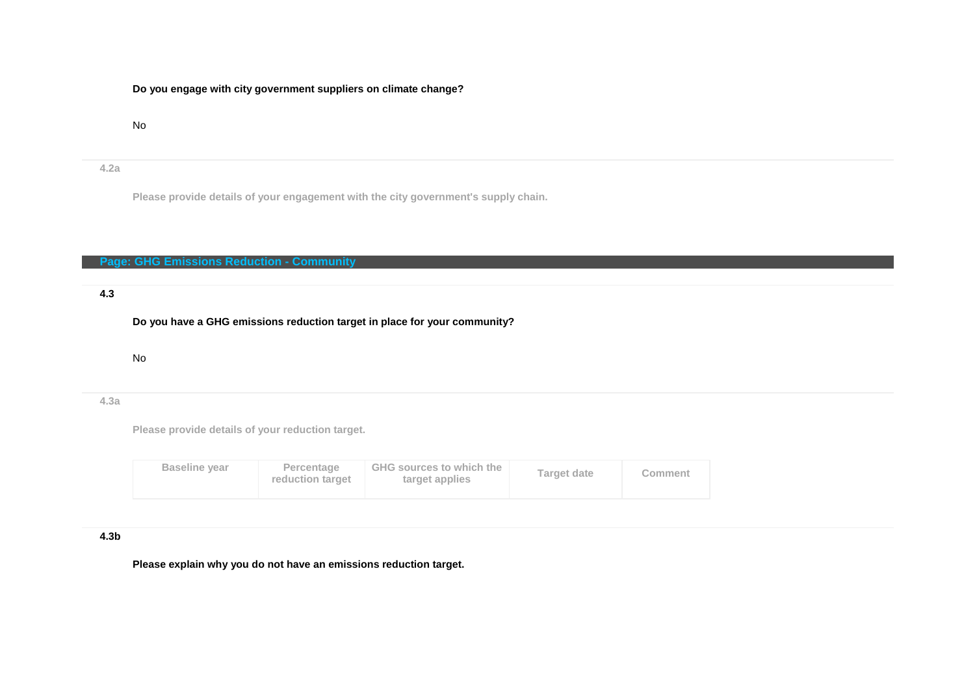## **Do you engage with city government suppliers on climate change?**

### No

#### **4.2a**

**Please provide details of your engagement with the city government's supply chain.**

## **Page: GHG Emissions Reduction - Community**

## **4.3**

**Do you have a GHG emissions reduction target in place for your community?**

## No

### **4.3a**

**Please provide details of your reduction target.**

| <b>Baseline year</b> | Percentage<br>reduction target | GHG sources to which the<br>target applies | Target date | Comment |
|----------------------|--------------------------------|--------------------------------------------|-------------|---------|
|----------------------|--------------------------------|--------------------------------------------|-------------|---------|

## **4.3b**

**Please explain why you do not have an emissions reduction target.**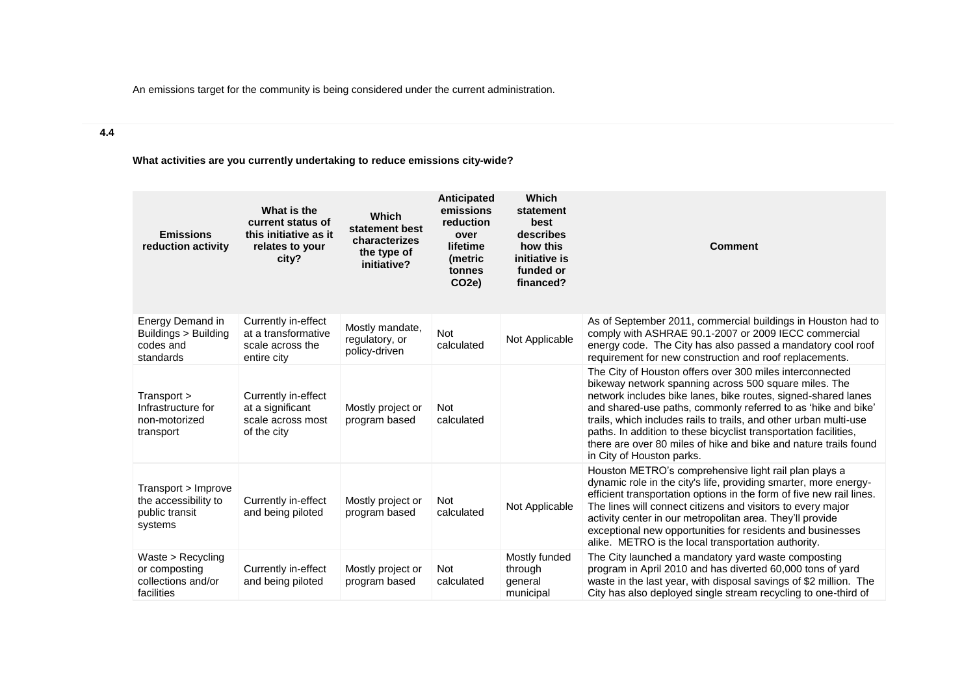An emissions target for the community is being considered under the current administration.

# **4.4**

**What activities are you currently undertaking to reduce emissions city-wide?** 

| <b>Emissions</b><br>reduction activity                                   | What is the<br>current status of<br>this initiative as it<br>relates to your<br>city? | Which<br>statement best<br>characterizes<br>the type of<br>initiative? | Anticipated<br>emissions<br>reduction<br>over<br>lifetime<br>(metric<br>tonnes<br>CO <sub>2</sub> e) | Which<br>statement<br>best<br>describes<br>how this<br>initiative is<br>funded or<br>financed? | Comment                                                                                                                                                                                                                                                                                                                                                                                                                                                                                       |
|--------------------------------------------------------------------------|---------------------------------------------------------------------------------------|------------------------------------------------------------------------|------------------------------------------------------------------------------------------------------|------------------------------------------------------------------------------------------------|-----------------------------------------------------------------------------------------------------------------------------------------------------------------------------------------------------------------------------------------------------------------------------------------------------------------------------------------------------------------------------------------------------------------------------------------------------------------------------------------------|
| Energy Demand in<br>Buildings > Building<br>codes and<br>standards       | Currently in-effect<br>at a transformative<br>scale across the<br>entire city         | Mostly mandate,<br>regulatory, or<br>policy-driven                     | <b>Not</b><br>calculated                                                                             | Not Applicable                                                                                 | As of September 2011, commercial buildings in Houston had to<br>comply with ASHRAE 90.1-2007 or 2009 IECC commercial<br>energy code. The City has also passed a mandatory cool roof<br>requirement for new construction and roof replacements.                                                                                                                                                                                                                                                |
| Transport ><br>Infrastructure for<br>non-motorized<br>transport          | Currently in-effect<br>at a significant<br>scale across most<br>of the city           | Mostly project or<br>program based                                     | <b>Not</b><br>calculated                                                                             |                                                                                                | The City of Houston offers over 300 miles interconnected<br>bikeway network spanning across 500 square miles. The<br>network includes bike lanes, bike routes, signed-shared lanes<br>and shared-use paths, commonly referred to as 'hike and bike'<br>trails, which includes rails to trails, and other urban multi-use<br>paths. In addition to these bicyclist transportation facilities,<br>there are over 80 miles of hike and bike and nature trails found<br>in City of Houston parks. |
| Transport > Improve<br>the accessibility to<br>public transit<br>systems | Currently in-effect<br>and being piloted                                              | Mostly project or<br>program based                                     | <b>Not</b><br>calculated                                                                             | Not Applicable                                                                                 | Houston METRO's comprehensive light rail plan plays a<br>dynamic role in the city's life, providing smarter, more energy-<br>efficient transportation options in the form of five new rail lines.<br>The lines will connect citizens and visitors to every major<br>activity center in our metropolitan area. They'll provide<br>exceptional new opportunities for residents and businesses<br>alike. METRO is the local transportation authority.                                            |
| Waste $>$ Recycling<br>or composting<br>collections and/or<br>facilities | Currently in-effect<br>and being piloted                                              | Mostly project or<br>program based                                     | <b>Not</b><br>calculated                                                                             | Mostly funded<br>through<br>general<br>municipal                                               | The City launched a mandatory yard waste composting<br>program in April 2010 and has diverted 60,000 tons of yard<br>waste in the last year, with disposal savings of \$2 million. The<br>City has also deployed single stream recycling to one-third of                                                                                                                                                                                                                                      |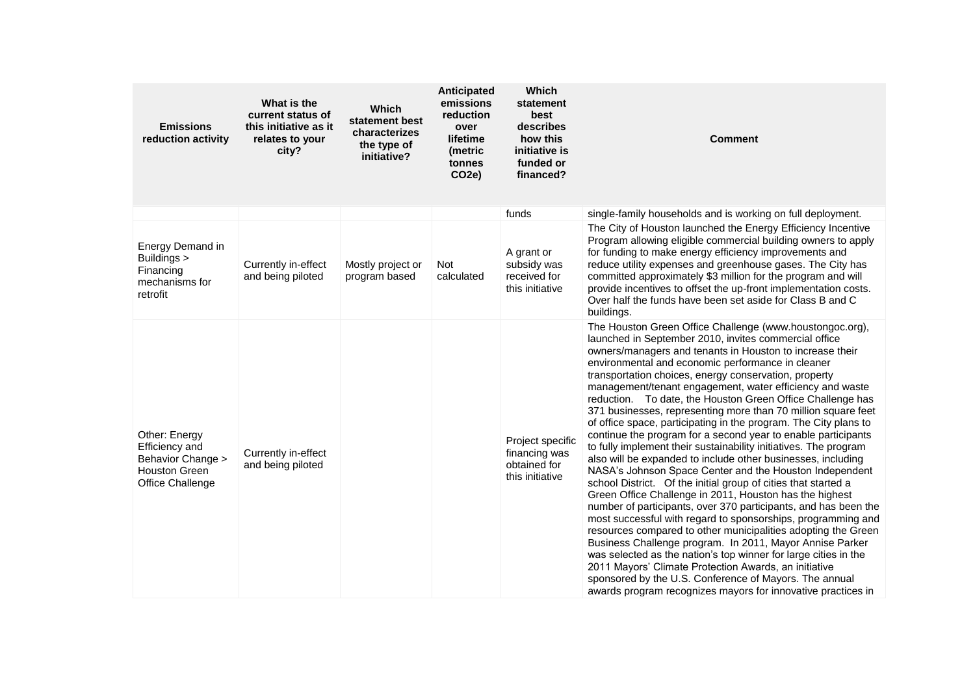| <b>Emissions</b><br>reduction activity                                                           | What is the<br>current status of<br>this initiative as it<br>relates to your<br>city? | Which<br>statement best<br>characterizes<br>the type of<br>initiative? | Anticipated<br>emissions<br>reduction<br>over<br>lifetime<br>(metric<br>tonnes<br>CO <sub>2</sub> e) | <b>Which</b><br>statement<br>best<br>describes<br>how this<br>initiative is<br>funded or<br>financed? | <b>Comment</b>                                                                                                                                                                                                                                                                                                                                                                                                                                                                                                                                                                                                                                                                                                                                                                                                                                                                                                                                                                                                                                                                                                                                                                                                                                                                                                                                                                                                                                                                |
|--------------------------------------------------------------------------------------------------|---------------------------------------------------------------------------------------|------------------------------------------------------------------------|------------------------------------------------------------------------------------------------------|-------------------------------------------------------------------------------------------------------|-------------------------------------------------------------------------------------------------------------------------------------------------------------------------------------------------------------------------------------------------------------------------------------------------------------------------------------------------------------------------------------------------------------------------------------------------------------------------------------------------------------------------------------------------------------------------------------------------------------------------------------------------------------------------------------------------------------------------------------------------------------------------------------------------------------------------------------------------------------------------------------------------------------------------------------------------------------------------------------------------------------------------------------------------------------------------------------------------------------------------------------------------------------------------------------------------------------------------------------------------------------------------------------------------------------------------------------------------------------------------------------------------------------------------------------------------------------------------------|
|                                                                                                  |                                                                                       |                                                                        |                                                                                                      | funds                                                                                                 | single-family households and is working on full deployment.                                                                                                                                                                                                                                                                                                                                                                                                                                                                                                                                                                                                                                                                                                                                                                                                                                                                                                                                                                                                                                                                                                                                                                                                                                                                                                                                                                                                                   |
| Energy Demand in<br>Buildings ><br>Financing<br>mechanisms for<br>retrofit                       | Currently in-effect<br>and being piloted                                              | Mostly project or<br>program based                                     | <b>Not</b><br>calculated                                                                             | A grant or<br>subsidy was<br>received for<br>this initiative                                          | The City of Houston launched the Energy Efficiency Incentive<br>Program allowing eligible commercial building owners to apply<br>for funding to make energy efficiency improvements and<br>reduce utility expenses and greenhouse gases. The City has<br>committed approximately \$3 million for the program and will<br>provide incentives to offset the up-front implementation costs.<br>Over half the funds have been set aside for Class B and C<br>buildings.                                                                                                                                                                                                                                                                                                                                                                                                                                                                                                                                                                                                                                                                                                                                                                                                                                                                                                                                                                                                           |
| Other: Energy<br>Efficiency and<br>Behavior Change ><br><b>Houston Green</b><br>Office Challenge | Currently in-effect<br>and being piloted                                              |                                                                        |                                                                                                      | Project specific<br>financing was<br>obtained for<br>this initiative                                  | The Houston Green Office Challenge (www.houstongoc.org),<br>launched in September 2010, invites commercial office<br>owners/managers and tenants in Houston to increase their<br>environmental and economic performance in cleaner<br>transportation choices, energy conservation, property<br>management/tenant engagement, water efficiency and waste<br>reduction. To date, the Houston Green Office Challenge has<br>371 businesses, representing more than 70 million square feet<br>of office space, participating in the program. The City plans to<br>continue the program for a second year to enable participants<br>to fully implement their sustainability initiatives. The program<br>also will be expanded to include other businesses, including<br>NASA's Johnson Space Center and the Houston Independent<br>school District. Of the initial group of cities that started a<br>Green Office Challenge in 2011, Houston has the highest<br>number of participants, over 370 participants, and has been the<br>most successful with regard to sponsorships, programming and<br>resources compared to other municipalities adopting the Green<br>Business Challenge program. In 2011, Mayor Annise Parker<br>was selected as the nation's top winner for large cities in the<br>2011 Mayors' Climate Protection Awards, an initiative<br>sponsored by the U.S. Conference of Mayors. The annual<br>awards program recognizes mayors for innovative practices in |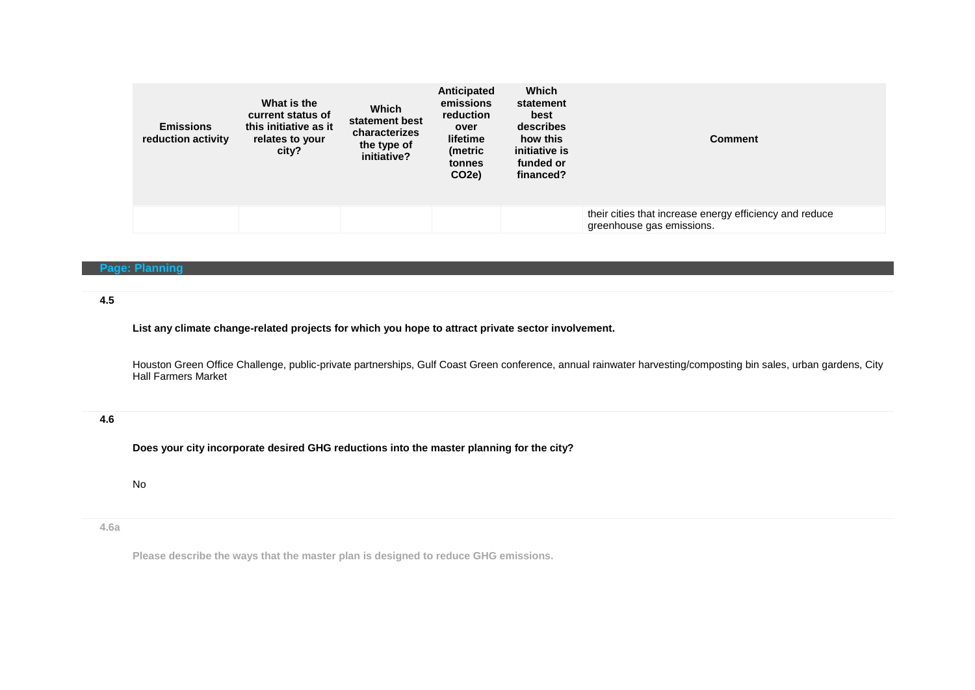| <b>Emissions</b><br>reduction activity | What is the<br>current status of<br>this initiative as it<br>relates to your<br>city? | Which<br>statement best<br>characterizes<br>the type of<br>initiative? | Anticipated<br>emissions<br>reduction<br>over<br>lifetime<br>(metric<br>tonnes<br>CO <sub>2</sub> e) | Which<br>statement<br>best<br>describes<br>how this<br>initiative is<br>funded or<br>financed? | <b>Comment</b>                                                                       |
|----------------------------------------|---------------------------------------------------------------------------------------|------------------------------------------------------------------------|------------------------------------------------------------------------------------------------------|------------------------------------------------------------------------------------------------|--------------------------------------------------------------------------------------|
|                                        |                                                                                       |                                                                        |                                                                                                      |                                                                                                | their cities that increase energy efficiency and reduce<br>greenhouse gas emissions. |

#### **Page: Planning**

## **4.5**

**List any climate change-related projects for which you hope to attract private sector involvement.**

Houston Green Office Challenge, public-private partnerships, Gulf Coast Green conference, annual rainwater harvesting/composting bin sales, urban gardens, City Hall Farmers Market

### **4.6**

**Does your city incorporate desired GHG reductions into the master planning for the city?**

No

## **4.6a**

**Please describe the ways that the master plan is designed to reduce GHG emissions.**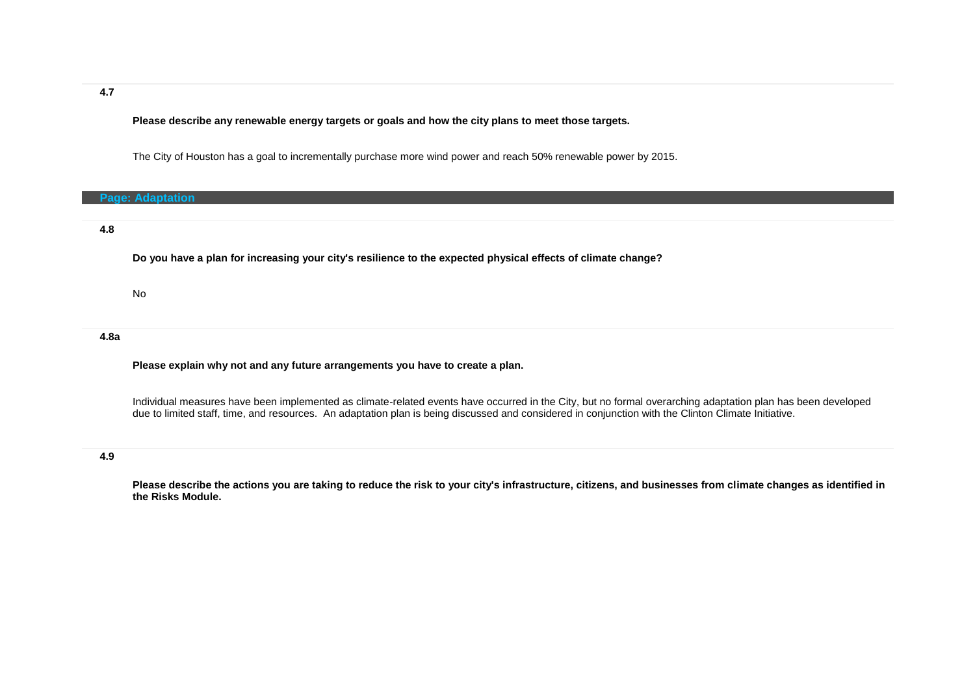#### **4.7**

### **Please describe any renewable energy targets or goals and how the city plans to meet those targets.**

The City of Houston has a goal to incrementally purchase more wind power and reach 50% renewable power by 2015.

## **Page: Adaptation**

#### **4.8**

**Do you have a plan for increasing your city's resilience to the expected physical effects of climate change?**

No

#### **4.8a**

**Please explain why not and any future arrangements you have to create a plan.**

Individual measures have been implemented as climate-related events have occurred in the City, but no formal overarching adaptation plan has been developed due to limited staff, time, and resources. An adaptation plan is being discussed and considered in conjunction with the Clinton Climate Initiative.

#### **4.9**

**Please describe the actions you are taking to reduce the risk to your city's infrastructure, citizens, and businesses from climate changes as identified in the Risks Module.**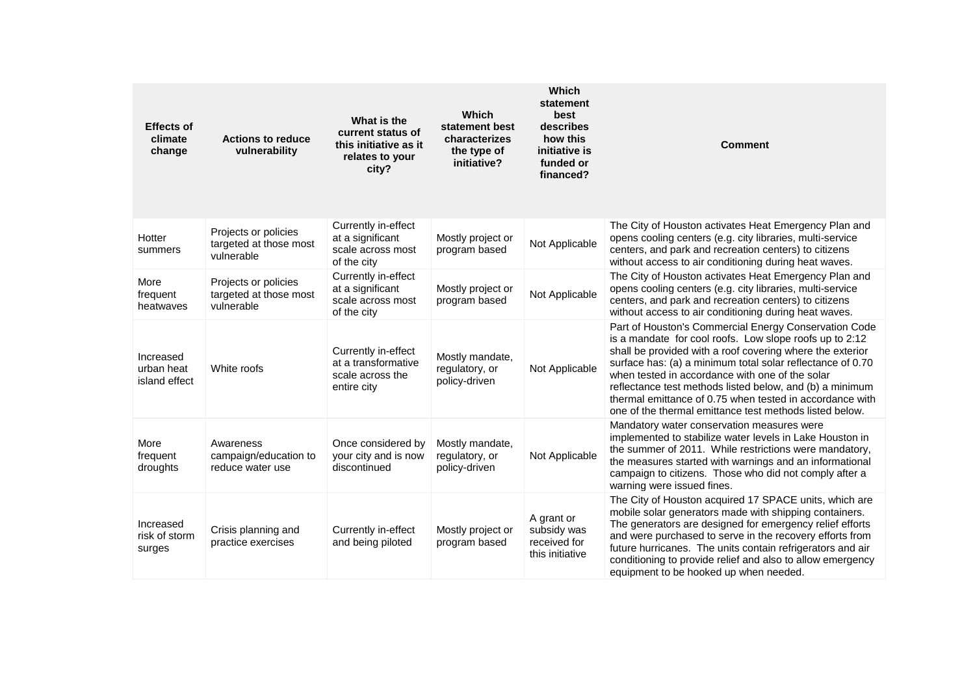| <b>Effects of</b><br>climate<br>change   | <b>Actions to reduce</b><br>vulnerability                    | What is the<br>current status of<br>this initiative as it<br>relates to your<br>city? | Which<br>statement best<br>characterizes<br>the type of<br>initiative? | Which<br>statement<br>best<br>describes<br>how this<br>initiative is<br>funded or<br>financed? | <b>Comment</b>                                                                                                                                                                                                                                                                                                                                                                                                                                                                    |
|------------------------------------------|--------------------------------------------------------------|---------------------------------------------------------------------------------------|------------------------------------------------------------------------|------------------------------------------------------------------------------------------------|-----------------------------------------------------------------------------------------------------------------------------------------------------------------------------------------------------------------------------------------------------------------------------------------------------------------------------------------------------------------------------------------------------------------------------------------------------------------------------------|
| Hotter<br>summers                        | Projects or policies<br>targeted at those most<br>vulnerable | Currently in-effect<br>at a significant<br>scale across most<br>of the city           | Mostly project or<br>program based                                     | Not Applicable                                                                                 | The City of Houston activates Heat Emergency Plan and<br>opens cooling centers (e.g. city libraries, multi-service<br>centers, and park and recreation centers) to citizens<br>without access to air conditioning during heat waves.                                                                                                                                                                                                                                              |
| More<br>frequent<br>heatwaves            | Projects or policies<br>targeted at those most<br>vulnerable | Currently in-effect<br>at a significant<br>scale across most<br>of the city           | Mostly project or<br>program based                                     | Not Applicable                                                                                 | The City of Houston activates Heat Emergency Plan and<br>opens cooling centers (e.g. city libraries, multi-service<br>centers, and park and recreation centers) to citizens<br>without access to air conditioning during heat waves.                                                                                                                                                                                                                                              |
| Increased<br>urban heat<br>island effect | White roofs                                                  | Currently in-effect<br>at a transformative<br>scale across the<br>entire city         | Mostly mandate,<br>regulatory, or<br>policy-driven                     | Not Applicable                                                                                 | Part of Houston's Commercial Energy Conservation Code<br>is a mandate for cool roofs. Low slope roofs up to 2:12<br>shall be provided with a roof covering where the exterior<br>surface has: (a) a minimum total solar reflectance of 0.70<br>when tested in accordance with one of the solar<br>reflectance test methods listed below, and (b) a minimum<br>thermal emittance of 0.75 when tested in accordance with<br>one of the thermal emittance test methods listed below. |
| More<br>frequent<br>droughts             | Awareness<br>campaign/education to<br>reduce water use       | Once considered by<br>your city and is now<br>discontinued                            | Mostly mandate,<br>regulatory, or<br>policy-driven                     | Not Applicable                                                                                 | Mandatory water conservation measures were<br>implemented to stabilize water levels in Lake Houston in<br>the summer of 2011. While restrictions were mandatory,<br>the measures started with warnings and an informational<br>campaign to citizens. Those who did not comply after a<br>warning were issued fines.                                                                                                                                                               |
| Increased<br>risk of storm<br>surges     | Crisis planning and<br>practice exercises                    | Currently in-effect<br>and being piloted                                              | Mostly project or<br>program based                                     | A grant or<br>subsidy was<br>received for<br>this initiative                                   | The City of Houston acquired 17 SPACE units, which are<br>mobile solar generators made with shipping containers.<br>The generators are designed for emergency relief efforts<br>and were purchased to serve in the recovery efforts from<br>future hurricanes. The units contain refrigerators and air<br>conditioning to provide relief and also to allow emergency<br>equipment to be hooked up when needed.                                                                    |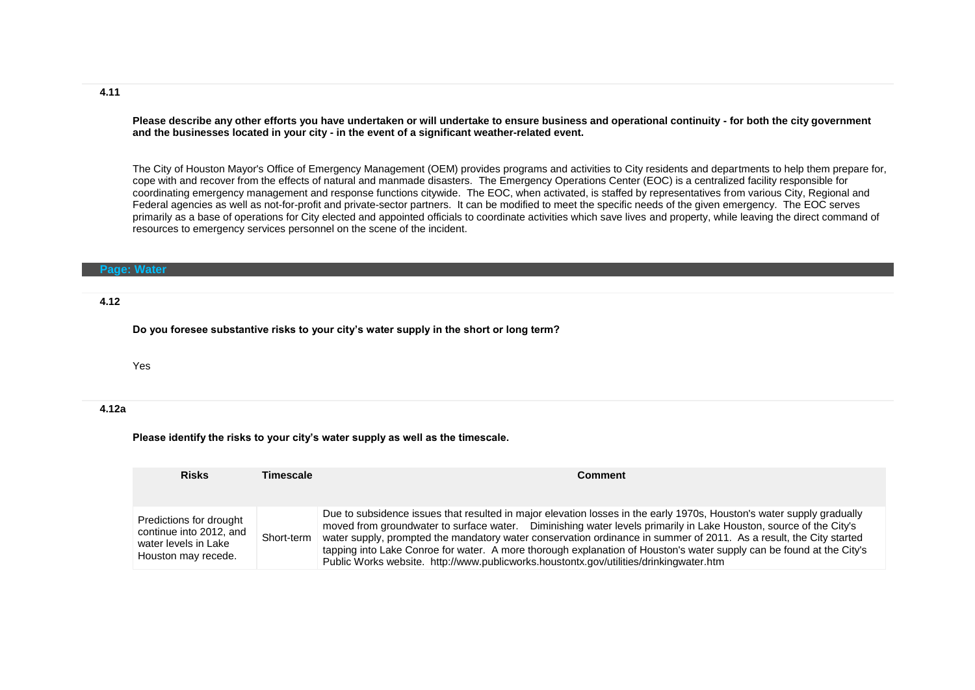#### **4.11**

**Please describe any other efforts you have undertaken or will undertake to ensure business and operational continuity - for both the city government and the businesses located in your city - in the event of a significant weather-related event.**

The City of Houston Mayor's Office of Emergency Management (OEM) provides programs and activities to City residents and departments to help them prepare for, cope with and recover from the effects of natural and manmade disasters. The Emergency Operations Center (EOC) is a centralized facility responsible for coordinating emergency management and response functions citywide. The EOC, when activated, is staffed by representatives from various City, Regional and Federal agencies as well as not-for-profit and private-sector partners. It can be modified to meet the specific needs of the given emergency. The EOC serves primarily as a base of operations for City elected and appointed officials to coordinate activities which save lives and property, while leaving the direct command of resources to emergency services personnel on the scene of the incident.

#### **Page: Water**

### **4.12**

**Do you foresee substantive risks to your city's water supply in the short or long term?**

Yes

### **4.12a**

**Please identify the risks to your city's water supply as well as the timescale.** 

| <b>Risks</b>                                                                                      | Timescale  | <b>Comment</b>                                                                                                                                                                                                                                                                                                                                                                                                                                                                                                                                                                     |
|---------------------------------------------------------------------------------------------------|------------|------------------------------------------------------------------------------------------------------------------------------------------------------------------------------------------------------------------------------------------------------------------------------------------------------------------------------------------------------------------------------------------------------------------------------------------------------------------------------------------------------------------------------------------------------------------------------------|
| Predictions for drought<br>continue into 2012, and<br>water levels in Lake<br>Houston may recede. | Short-term | Due to subsidence issues that resulted in major elevation losses in the early 1970s, Houston's water supply gradually<br>moved from groundwater to surface water. Diminishing water levels primarily in Lake Houston, source of the City's<br>water supply, prompted the mandatory water conservation ordinance in summer of 2011. As a result, the City started<br>tapping into Lake Conroe for water. A more thorough explanation of Houston's water supply can be found at the City's<br>Public Works website. http://www.publicworks.houstontx.gov/utilities/drinkingwater.htm |